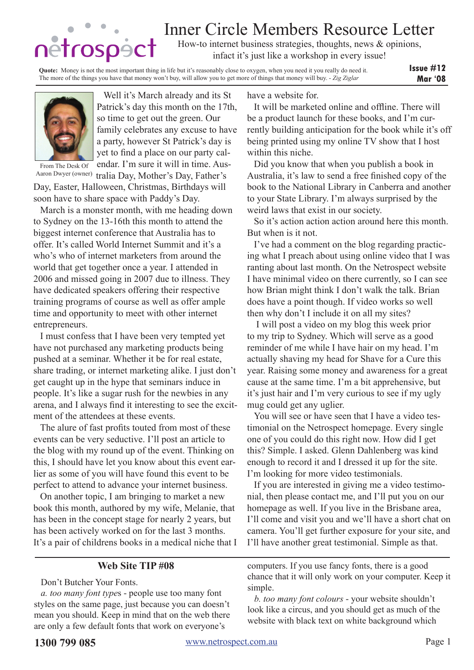# Inner Circle Members Resource Letter

How-to internet business strategies, thoughts, news & opinions, infact it's just like a workshop in every issue!

**Issue #12 Mar '08 Quote:** Money is not the most important thing in life but it's reasonably close to oxygen, when you need it you really do need it. The more of the things you have that money won't buy, will allow you to get more of things that money will buy. - *Zig Ziglar*



Well it's March already and its St Patrick's day this month on the 17th, so time to get out the green. Our family celebrates any excuse to have a party, however St Patrick's day is yet to find a place on our party calendar. I'm sure it will in time. Aus-

From The Desk Of

Aaron Dwyer (owner) tralia Day, Mother's Day, Father's Day, Easter, Halloween, Christmas, Birthdays will soon have to share space with Paddy's Day.

March is a monster month, with me heading down to Sydney on the 13-16th this month to attend the biggest internet conference that Australia has to offer. It's called World Internet Summit and it's a who's who of internet marketers from around the world that get together once a year. I attended in 2006 and missed going in 2007 due to illness. They have dedicated speakers offering their respective training programs of course as well as offer ample time and opportunity to meet with other internet entrepreneurs.

I must confess that I have been very tempted yet have not purchased any marketing products being pushed at a seminar. Whether it be for real estate, share trading, or internet marketing alike. I just don't get caught up in the hype that seminars induce in people. It's like a sugar rush for the newbies in any arena, and I always find it interesting to see the excitment of the attendees at these events.

The alure of fast profits touted from most of these events can be very seductive. I'll post an article to the blog with my round up of the event. Thinking on this, I should have let you know about this event earlier as some of you will have found this event to be perfect to attend to advance your internet business.

On another topic, I am bringing to market a new book this month, authored by my wife, Melanie, that has been in the concept stage for nearly 2 years, but has been actively worked on for the last 3 months. It's a pair of childrens books in a medical niche that I have a website for.

It will be marketed online and offline. There will be a product launch for these books, and I'm currently building anticipation for the book while it's off being printed using my online TV show that I host within this niche.

Did you know that when you publish a book in Australia, it's law to send a free finished copy of the book to the National Library in Canberra and another to your State Library. I'm always surprised by the weird laws that exist in our society.

So it's action action action around here this month. But when is it not.

I've had a comment on the blog regarding practicing what I preach about using online video that I was ranting about last month. On the Netrospect website I have minimal video on there currently, so I can see how Brian might think I don't walk the talk. Brian does have a point though. If video works so well then why don't I include it on all my sites?

 I will post a video on my blog this week prior to my trip to Sydney. Which will serve as a good reminder of me while I have hair on my head. I'm actually shaving my head for Shave for a Cure this year. Raising some money and awareness for a great cause at the same time. I'm a bit apprehensive, but it's just hair and I'm very curious to see if my ugly mug could get any uglier.

You will see or have seen that I have a video testimonial on the Netrospect homepage. Every single one of you could do this right now. How did I get this? Simple. I asked. Glenn Dahlenberg was kind enough to record it and I dressed it up for the site. I'm looking for more video testimonials.

If you are interested in giving me a video testimonial, then please contact me, and I'll put you on our homepage as well. If you live in the Brisbane area, I'll come and visit you and we'll have a short chat on camera. You'll get further exposure for your site, and I'll have another great testimonial. Simple as that.

## **Web Site TIP #08**

Don't Butcher Your Fonts.

*a. too many font type*s - people use too many font styles on the same page, just because you can doesn't mean you should. Keep in mind that on the web there are only a few default fonts that work on everyone's

computers. If you use fancy fonts, there is a good chance that it will only work on your computer. Keep it simple.

*b. too many font colours* - your website shouldn't look like a circus, and you should get as much of the website with black text on white background which